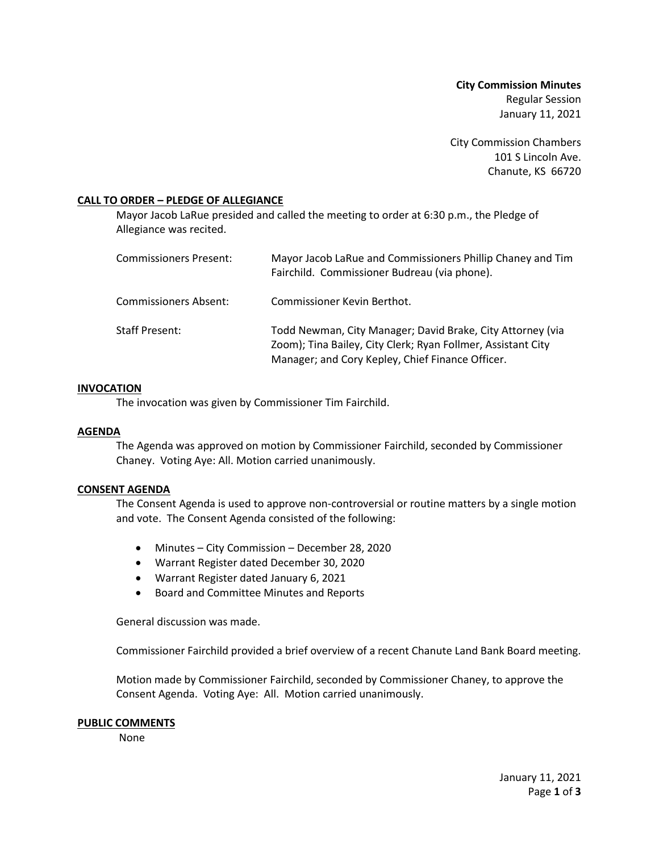**City Commission Minutes** Regular Session January 11, 2021

City Commission Chambers 101 S Lincoln Ave. Chanute, KS 66720

## **CALL TO ORDER – PLEDGE OF ALLEGIANCE**

Mayor Jacob LaRue presided and called the meeting to order at 6:30 p.m., the Pledge of Allegiance was recited.

| <b>Commissioners Present:</b> | Mayor Jacob LaRue and Commissioners Phillip Chaney and Tim<br>Fairchild. Commissioner Budreau (via phone).                                                                     |
|-------------------------------|--------------------------------------------------------------------------------------------------------------------------------------------------------------------------------|
| Commissioners Absent:         | Commissioner Kevin Berthot.                                                                                                                                                    |
| <b>Staff Present:</b>         | Todd Newman, City Manager; David Brake, City Attorney (via<br>Zoom); Tina Bailey, City Clerk; Ryan Follmer, Assistant City<br>Manager; and Cory Kepley, Chief Finance Officer. |

#### **INVOCATION**

The invocation was given by Commissioner Tim Fairchild.

#### **AGENDA**

The Agenda was approved on motion by Commissioner Fairchild, seconded by Commissioner Chaney. Voting Aye: All. Motion carried unanimously.

#### **CONSENT AGENDA**

The Consent Agenda is used to approve non-controversial or routine matters by a single motion and vote. The Consent Agenda consisted of the following:

- Minutes City Commission December 28, 2020
- Warrant Register dated December 30, 2020
- Warrant Register dated January 6, 2021
- Board and Committee Minutes and Reports

General discussion was made.

Commissioner Fairchild provided a brief overview of a recent Chanute Land Bank Board meeting.

Motion made by Commissioner Fairchild, seconded by Commissioner Chaney, to approve the Consent Agenda. Voting Aye: All. Motion carried unanimously.

#### **PUBLIC COMMENTS**

None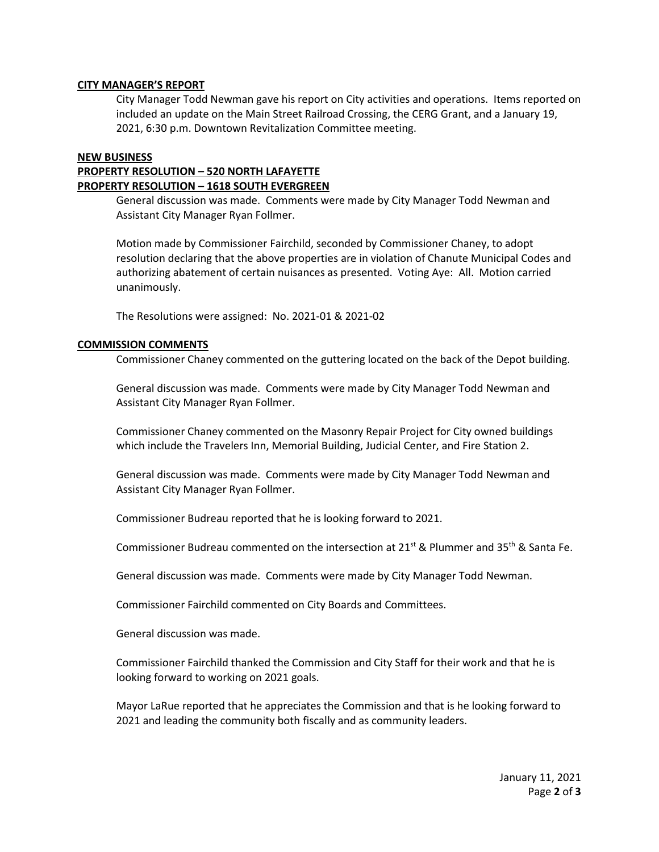### **CITY MANAGER'S REPORT**

City Manager Todd Newman gave his report on City activities and operations. Items reported on included an update on the Main Street Railroad Crossing, the CERG Grant, and a January 19, 2021, 6:30 p.m. Downtown Revitalization Committee meeting.

# **NEW BUSINESS PROPERTY RESOLUTION – 520 NORTH LAFAYETTE PROPERTY RESOLUTION – 1618 SOUTH EVERGREEN**

General discussion was made. Comments were made by City Manager Todd Newman and Assistant City Manager Ryan Follmer.

Motion made by Commissioner Fairchild, seconded by Commissioner Chaney, to adopt resolution declaring that the above properties are in violation of Chanute Municipal Codes and authorizing abatement of certain nuisances as presented. Voting Aye: All. Motion carried unanimously.

The Resolutions were assigned: No. 2021-01 & 2021-02

## **COMMISSION COMMENTS**

Commissioner Chaney commented on the guttering located on the back of the Depot building.

General discussion was made. Comments were made by City Manager Todd Newman and Assistant City Manager Ryan Follmer.

Commissioner Chaney commented on the Masonry Repair Project for City owned buildings which include the Travelers Inn, Memorial Building, Judicial Center, and Fire Station 2.

General discussion was made. Comments were made by City Manager Todd Newman and Assistant City Manager Ryan Follmer.

Commissioner Budreau reported that he is looking forward to 2021.

Commissioner Budreau commented on the intersection at 21<sup>st</sup> & Plummer and 35<sup>th</sup> & Santa Fe.

General discussion was made. Comments were made by City Manager Todd Newman.

Commissioner Fairchild commented on City Boards and Committees.

General discussion was made.

Commissioner Fairchild thanked the Commission and City Staff for their work and that he is looking forward to working on 2021 goals.

Mayor LaRue reported that he appreciates the Commission and that is he looking forward to 2021 and leading the community both fiscally and as community leaders.